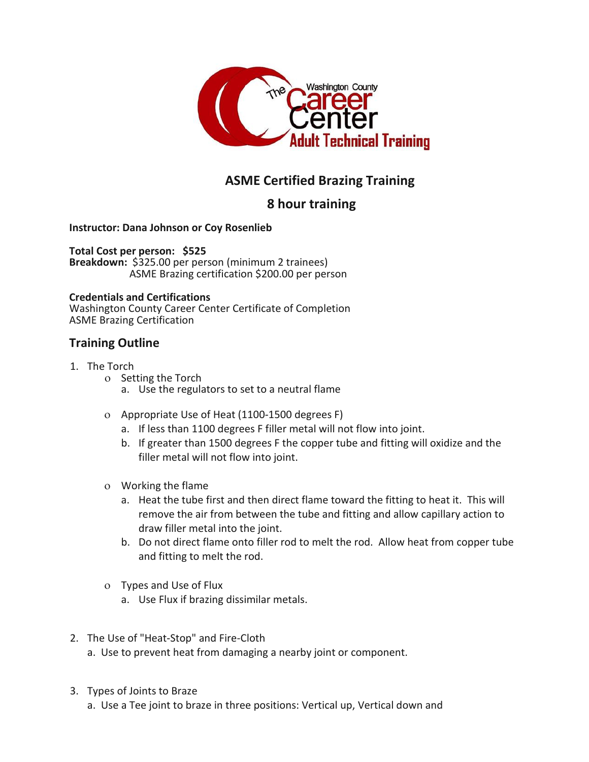

# **ASME Certified Brazing Training**

## **8 hour training**

#### **Instructor: Dana Johnson or Coy Rosenlieb**

**Total Cost per person: \$525 Breakdown:** \$325.00 per person (minimum 2 trainees) ASME Brazing certification \$200.00 per person

#### **Credentials and Certifications**

Washington County Career Center Certificate of Completion ASME Brazing Certification

### **Training Outline**

#### 1. The Torch

- o Setting the Torch
	- a. Use the regulators to set to a neutral flame
- Appropriate Use of Heat (1100-1500 degrees F)
	- a. If less than 1100 degrees F filler metal will not flow into joint.
	- b. If greater than 1500 degrees F the copper tube and fitting will oxidize and the filler metal will not flow into joint.
- Working the flame
	- a. Heat the tube first and then direct flame toward the fitting to heat it. This will remove the air from between the tube and fitting and allow capillary action to draw filler metal into the joint.
	- b. Do not direct flame onto filler rod to melt the rod. Allow heat from copper tube and fitting to melt the rod.
- Types and Use of Flux
	- a. Use Flux if brazing dissimilar metals.
- 2. The Use of "Heat-Stop" and Fire-Cloth
	- a. Use to prevent heat from damaging a nearby joint or component.
- 3. Types of Joints to Braze
	- a. Use a Tee joint to braze in three positions: Vertical up, Vertical down and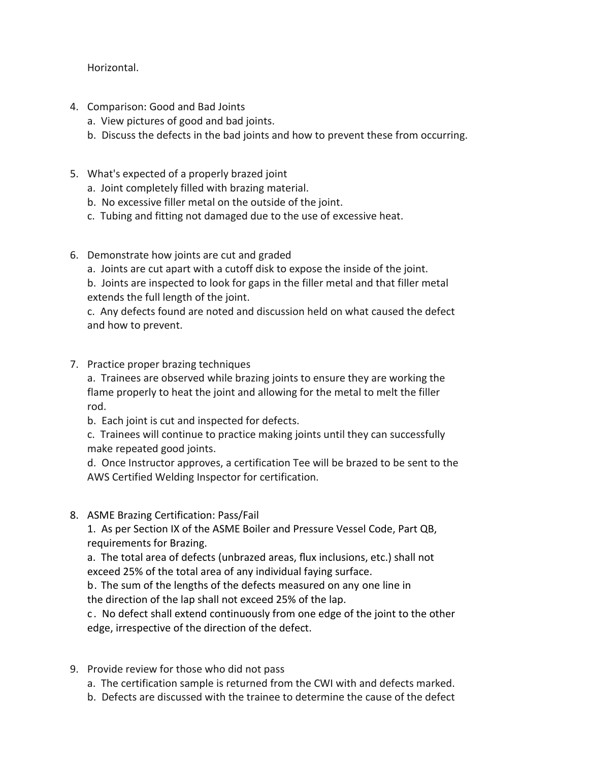Horizontal.

- 4. Comparison: Good and Bad Joints
	- a. View pictures of good and bad joints.
	- b. Discuss the defects in the bad joints and how to prevent these from occurring.
- 5. What's expected of a properly brazed joint
	- a. Joint completely filled with brazing material.
	- b. No excessive filler metal on the outside of the joint.
	- c. Tubing and fitting not damaged due to the use of excessive heat.
- 6. Demonstrate how joints are cut and graded
	- a. Joints are cut apart with a cutoff disk to expose the inside of the joint.
	- b. Joints are inspected to look for gaps in the filler metal and that filler metal extends the full length of the joint.

c. Any defects found are noted and discussion held on what caused the defect and how to prevent.

7. Practice proper brazing techniques

a. Trainees are observed while brazing joints to ensure they are working the flame properly to heat the joint and allowing for the metal to melt the filler rod.

b. Each joint is cut and inspected for defects.

c. Trainees will continue to practice making joints until they can successfully make repeated good joints.

d. Once Instructor approves, a certification Tee will be brazed to be sent to the AWS Certified Welding Inspector for certification.

8. ASME Brazing Certification: Pass/Fail

1. As per Section IX of the ASME Boiler and Pressure Vessel Code, Part QB, requirements for Brazing.

a. The total area of defects (unbrazed areas, flux inclusions, etc.) shall not exceed 25% of the total area of any individual faying surface.

b. The sum of the lengths of the defects measured on any one line in the direction of the lap shall not exceed 25% of the lap.

c . No defect shall extend continuously from one edge of the joint to the other edge, irrespective of the direction of the defect.

- 9. Provide review for those who did not pass
	- a. The certification sample is returned from the CWI with and defects marked.
	- b. Defects are discussed with the trainee to determine the cause of the defect